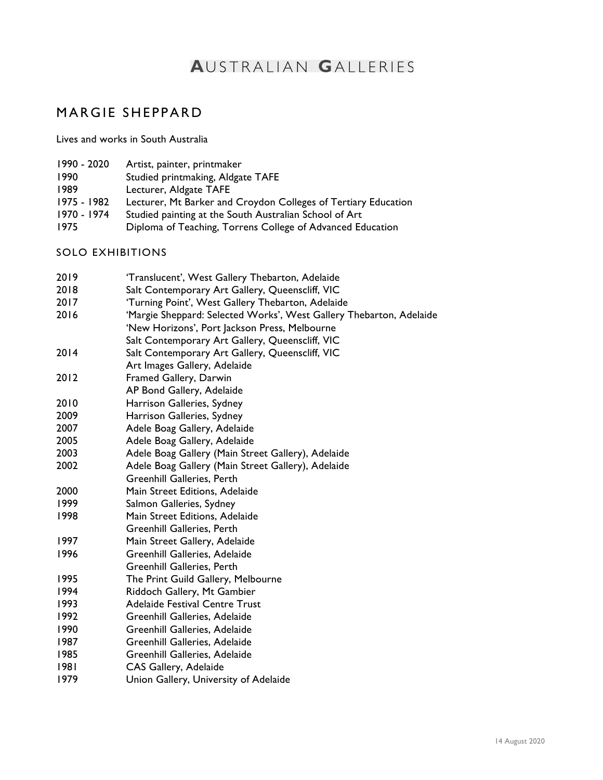## **AUSTRALIAN GALLERIES**

## MARGIE SHEPPARD

Lives and works in South Australia

- 1990 2020 Artist, painter, printmaker
- 1990 Studied printmaking, Aldgate TAFE
- 1989 Lecturer, Aldgate TAFE
- 1975 1982 Lecturer, Mt Barker and Croydon Colleges of Tertiary Education
- 1970 1974 Studied painting at the South Australian School of Art
- 1975 Diploma of Teaching, Torrens College of Advanced Education
- SOLO EXHIBITIONS

| 2019 | 'Translucent', West Gallery Thebarton, Adelaide                     |
|------|---------------------------------------------------------------------|
| 2018 | Salt Contemporary Art Gallery, Queenscliff, VIC                     |
| 2017 | 'Turning Point', West Gallery Thebarton, Adelaide                   |
| 2016 | 'Margie Sheppard: Selected Works', West Gallery Thebarton, Adelaide |
|      | 'New Horizons', Port Jackson Press, Melbourne                       |
|      | Salt Contemporary Art Gallery, Queenscliff, VIC                     |
| 2014 | Salt Contemporary Art Gallery, Queenscliff, VIC                     |
|      | Art Images Gallery, Adelaide                                        |
| 2012 | Framed Gallery, Darwin                                              |
|      | AP Bond Gallery, Adelaide                                           |
| 2010 | Harrison Galleries, Sydney                                          |
| 2009 | Harrison Galleries, Sydney                                          |
| 2007 | Adele Boag Gallery, Adelaide                                        |
| 2005 | Adele Boag Gallery, Adelaide                                        |
| 2003 | Adele Boag Gallery (Main Street Gallery), Adelaide                  |
| 2002 | Adele Boag Gallery (Main Street Gallery), Adelaide                  |
|      | <b>Greenhill Galleries, Perth</b>                                   |
| 2000 | Main Street Editions, Adelaide                                      |
| 1999 | Salmon Galleries, Sydney                                            |
| 1998 | Main Street Editions, Adelaide                                      |
|      | <b>Greenhill Galleries, Perth</b>                                   |
| 1997 | Main Street Gallery, Adelaide                                       |
| 1996 | Greenhill Galleries, Adelaide                                       |
|      | Greenhill Galleries, Perth                                          |
| 1995 | The Print Guild Gallery, Melbourne                                  |
| 1994 | Riddoch Gallery, Mt Gambier                                         |
| 1993 | <b>Adelaide Festival Centre Trust</b>                               |
| 1992 | Greenhill Galleries, Adelaide                                       |
| 1990 | Greenhill Galleries, Adelaide                                       |
| 1987 | Greenhill Galleries, Adelaide                                       |
| 1985 | <b>Greenhill Galleries, Adelaide</b>                                |
| 1981 | CAS Gallery, Adelaide                                               |
| 1979 | Union Gallery, University of Adelaide                               |
|      |                                                                     |